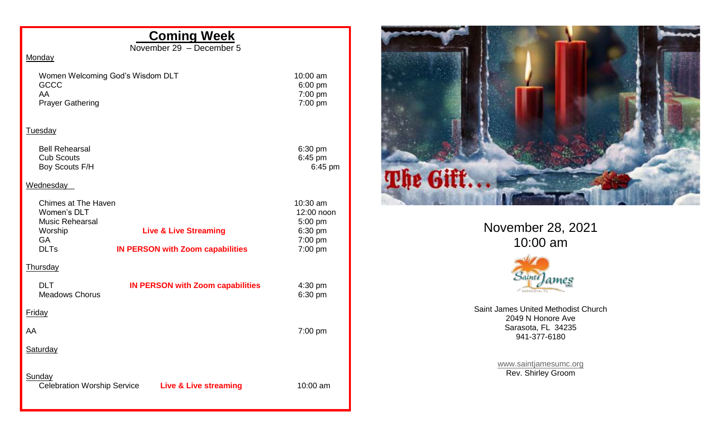## **Coming Week**

November 29 – December 5

## **Monday**

Women Welcoming God's Wisdom DLT 10:00 am<br>GCCC 6:00 pm GCCC 6:00 pm<br>AA 7:00 pm Prayer Gathering 7:00 pm

 $7:00$  pm

## **Tuesday**

Bell Rehearsal 6:30 pm<br>
Cub Scouts 6:45 pm Cub Scouts<br>
Boy Scouts F/H 6:45 pm Boy Scouts F/H

## **Wednesday**

| Chimes at The Haven                 |                                         | $10:30$ am             |
|-------------------------------------|-----------------------------------------|------------------------|
| Women's DLT                         |                                         | 12:00 noon             |
| <b>Music Rehearsal</b><br>Worship   | <b>Live &amp; Live Streaming</b>        | $5:00$ pm<br>$6:30$ pm |
| GA                                  |                                         | $7:00$ pm              |
| <b>DLTs</b>                         | <b>IN PERSON with Zoom capabilities</b> | $7:00$ pm              |
| <u>Thursday</u>                     |                                         |                        |
| <b>DLT</b><br><b>Meadows Chorus</b> | <b>IN PERSON with Zoom capabilities</b> | 4:30 pm<br>6:30 pm     |
| Friday                              |                                         |                        |
| AA                                  |                                         | $7:00$ pm              |
| Saturday                            |                                         |                        |
| Sunday                              |                                         |                        |



November 28, 2021 10:00 am



Saint James United Methodist Church 2049 N Honore Ave Sarasota, FL 34235 941-377-6180

> [www.saintjamesumc.org](http://www.saintjamesumc.org/) Rev. Shirley Groom

Celebration Worship Service **Live & Live streaming** 10:00 am